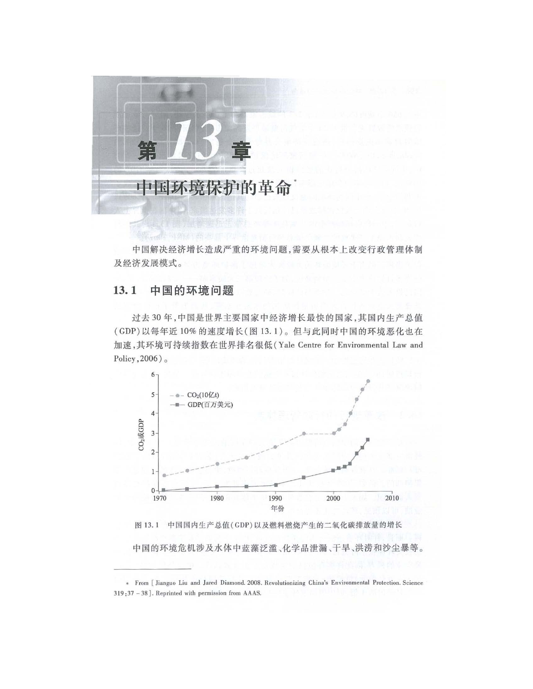

中国解决经济增长造成严重的环境问题,需要从根本上改变行政管理体制 及经济发展模式。

#### 中国的环境问题 13.1

过去 <sup>30</sup> 年,中国是世界主要国家中经济增长最快的国家,其国内生产总值 (GDP) 以每年近10% 的速度增长(图13.1)。但与此同时中国的环境恶化也在 加速, 其环境可持续指数在世界排名很低(Yale Centre for Environmental Law and Policy,  $2006$ ).



\* From [ Jianguo Liu and Jared Diamond. 2008. Revolutionizing China's Environmental Protection. Science  $319:37 - 38$ ]. Reprinted with permission from AAAS.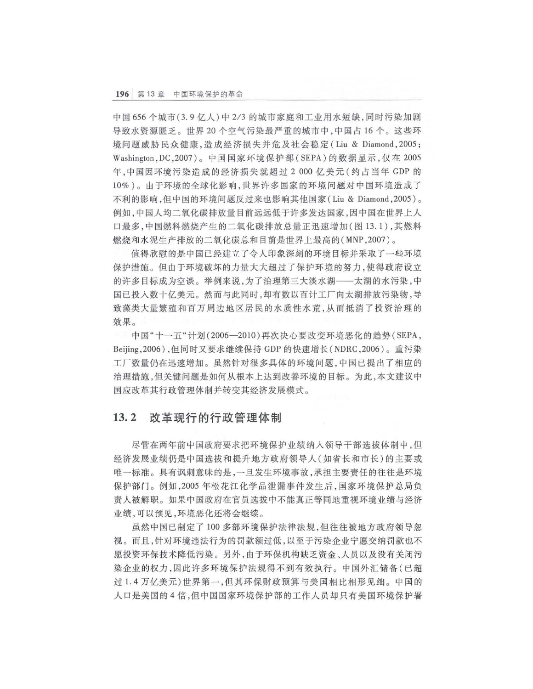中国 656 个城市(3.9 亿人)中 2/3 的城市家庭和工业用水短缺,同时污染加剧 导致水资源匮乏。世界20个空气污染最严重的城市中,中国占16个。这些环 境问题威胁民众健康,造成经济损失并危及社会稳定 (Liu & Diamond , 2005 ; Washington , DC 2007) 中国国家环境保护部( SEPA) 的数据显示,仅在 <sup>2005</sup> 年,中国因环境污染造成的经济损失就超过 <sup>000</sup> 亿美元(约占当年 GDP 10%)。由于环境的全球化影响,世界许多国家的环境问题对中国环境造成了 不利的影响,但中国的环搅问题反过来也影响其他国家 (Liu & Diamond , 2005 例如,中国人均二氧化碳排放量目前远远低于许多发达国家,因中国在世界上人 口最多,中国燃料燃烧产生的二氧化碳排放总量正迅速增加(图 13.1),其燃料 燃烧和水泥牛产排放的二氧化碳总和目前是世界上最高的 (MNP, 2007)。

值得欣慰的是中国已经建立了令人印象深刻的环境目标并采取了一些环境 保护措施 但由于环境破坏的力量大大超过了保护环境的努力 使得政府设立 的许多目标成为空谈。举例来说,为了治理第三大淡水湖一一太湖的水污染,中 国已投入数十亿美元。然而与此同时,却有数以百计工厂向太湖排放污染物,导 致藻类大盘繁殖和百万周边地区居民的水质性水荒,从而抵消了投资治理的 效果。

中国"十一五"计划 (2006-2010) 再次决心要改变环境恶化的趋势 (SEPA, Beijing, 2006), 但同时又要求继续保持 GDP 的快速增长 (NDRC, 2006)。重污染 工厂数量仍在迅速增加 虽然针对很多具体的环境问题,中国已提出了相应的 治理措施,但关键问题是如何从根本上达到改善环挠的目标 为此,本文建议中 国应改革其行政管理体制并转变其经济发展模式。

# 13.2 改革现行的行政管理体制

尽管在两年前中国政府要求把环境保护业绩纳入领导干部选拔体制中,但 经济发展业绩仍是中国选拔和提升地方政府领导人(如省长和市长)的主要或 唯一标准。具有讽刺意味的是, 一旦发生环境事故, 承担主要责任的往往是环境 保护部门 例如, <sup>2005</sup> 年松花江化学品泄漏事件发生后,国家环境保护总局负 责人被解职 如果中国政府在官员选拔中不能真正等同地重视环境业绩与经济 业绩,可以预见,环境恶化还将会继续

虽然中国己制定了 <sup>100</sup> 多部环挠保护法律法规,但往往被地方政府领导忽 而且,针对环境违法行为的罚款额过低,以至于污染企业宁愿交纳罚款也不 愿投资环保技术降低污染。另外,由于环保机构缺乏资金、人员以及没有关闭污 染企业的权力,因此许多环境保护法规得不到有效执行。中国外汇储备(已超 过1.4 万亿美元)世界第一,但其环保财政预算与美国相比相形见绌。中国的 人口是美国的 4 倍,但中国国家环境保护部的工作人员却只有美国环境保护署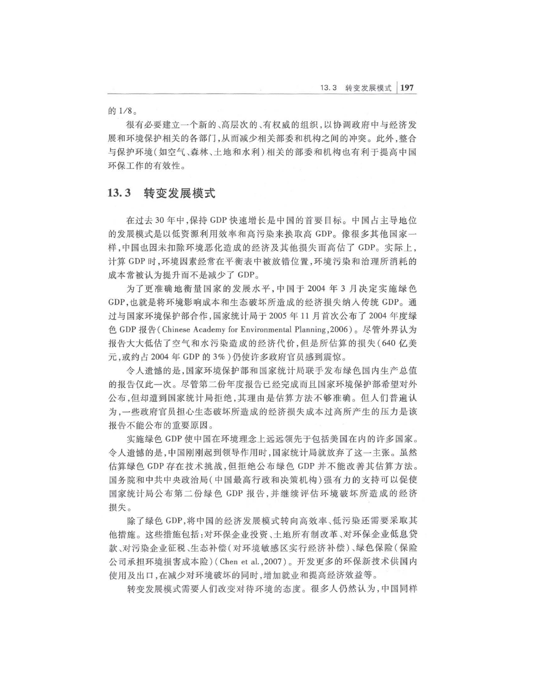的1/8。

很有必要建立一个新的、高层次的、有权威的组织, 以协调政府中与经济发 展和环境保护相关的各部门,从而减少相关部委和机构之间的冲突。此外,整合 与保护环境(如空气、森林、土地和水利)相关的部委和机构也有利于提高中国 环保工作的有效性。

# 13.3 转变发展模式

在过去 <sup>30</sup> 年中,保持 GDP 快速增长是中国的首要目标 中国占主导地位 的发展模式是以低资源利用效率和高污染来换取高 GDP。像很多其他国家一 样,中国也因未扣除环境恶化造成的经济及其他损失而高估了 GDP。实际上, 计算 GDP 时, 环境因素经常在平衡表中被放错位置, 环境污染和治理所消耗的 成本常被认为提升而不是减少了 GDP

为了更准确地衡量国家的发展水平,中国于2004年3月决定实施绿色 GDP ,也就是将环境影响成本和生态破坏所造成的经济损失纳入传统 GDP 过与国家环境保护部合作,国家统计局于 2005 年 11 月首次公布了 2004 年度绿 色 GDP 报告 (Chinese Academy for Environmental Planning, 2006)。尽管外界认为 报告大大低估了空气和水污染造成的经济代价,但是所估算的损失( <sup>640</sup> 亿美 元,或约占 2004 年 GDP 的 3% )仍使许多政府官员感到震惊。

令人遗憾的是,国家环境保护部和国家统计局联手发布绿色国内生产总值 的报告仅此一次 尽管第二份年度报告已经完成而且国家环境保护部希望对外 公布,但却遭到国家统计局拒绝,其理由是估算方法不够准确。但人们普遍认 为,一些政府官员担心生态破坏所造成的经济损失成本过高所产生的压力是该 报告不能公布的重要原因。

实施绿色 GDP 使中国在环境理念上远远领先于包括美国在内的许多国家 令人遗憾的是,中国刚刚起到领导作用时,国家统计局就放弃了这一主张。虽然 估算绿色 GDP 存在技术挑战,但拒绝公布绿色 GDP 并不能改善其估算方法 国务院和中共中央政治局(中国最高行政和决策机构)强有力的支持可以促使 国家统计局公布第 份绿色 GDP 报告,并继续评估环搅破坏所造成的经济 损失

除了绿色 GDP ,将中国的经济发展模式转向高效率 低污染还需要采取其 他措施 这些措施包括·对环保企业投资、土地所有制改革、对环保企业低息贷 款、对污染企业征税、生态补偿(对环境敏感区实行经济补偿)、绿色保险(保险 公司承担环境损害成本险) (Chen et al., 2007)。开发更多的环保新技术供国内 使用及出口,在减少对环境破坏的同时,增加就业和提高经济效益等。

转变发展模式需要人们改变对待环境的态度 很多人仍然认为,中国同样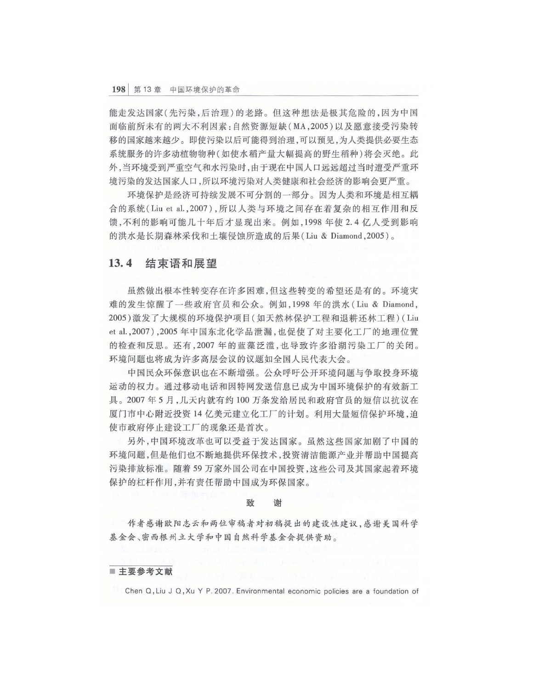能走发达国家(先污染,后治理)的老路。但这种想法是极其危险的,因为中国 面临前所未有的两大不利因素 自然资源短缺 (MA <sup>2005</sup> )以及愿意接受污染转 移的国家越来越少 即使污染以后可能得到治理,可以预见,为人类提供必要生态 系统服务的许多动植物物种(如使水稻产量大幅提高的野生稻种)将会灭绝。此 外,当环境受到严重空气和水污染时,由于现在中国人口远远超过当时遭受严重环 境污染的发达国家人口,所以环境污染对人类健康和社会经济的影响会更严重。

环境保护是经济可持续发展不可分割的一部分。因为人类和环境是相互耦 合的系统 Liu et a1. ,2007 ) ,所以人类与环境之间存在着复杂的相互作用和反 馈,不利的影响可能几十年后才显现出来。例如, 1998年使2.4亿人受到影响 的洪水是长期森林采伐和土壤侵蚀所造成的后果 (Liu & Diamond, 2005)。

## 13.4 结束语和展望

虽然做出根本性转变存在许多困难,但这些转变的希望还是有的。环境灾 难的发生惊醒了一些政府官员和公众。例如, 1998 年的洪水 (Liu & Diamond, 2005) 激发了大规模的环境保护项目(如天然林保护工程和退耕还林工程) (Liu et al., 2007), 2005 年中国东北化学品泄漏, 也促使了对主要化工厂的地理位置 的检查和反思。还有, 2007 年的蓝藻泛滥, 也导致许多沿湖污染工厂的关闭。 环境问题也将成为许多高层会议的议题如全国人民代表大会。

中国民众环保意识也在不断增强 公众呼吁公开环境问题与争取投身环境 运动的权力 通过移动电话和因特网发送信息已成为中国环境保护的有效新工 具。2007年5月, 几天内就有约 100 万条发给居民和政府官员的短信以抗议在 厦门市中心附近投资 14 亿美元建立化工厂的计划。利用大量短信保护环境,迫 使市政府停止建设工厂的现象还是首次。

另外 ,中 国环境改革也可以受益于发达国家。虽然这些国家加剧了 中国的 环境问题,但是他们也不断地提供环保技术,投资清洁能源产业并帮助中国提高 污染排放标准 随着 <sup>59</sup> 万家外国公司在中国投资 这些公司及其国家起着环境 保护的杠杆作用,并有责任帮助中国成为环保国家

### 致 谢

作者感谢欧阳志云和两位审稿者对初稿提出的建设性建议,感谢美国科学 基金会、密西根州立大学和中国自然科学基金会提供资助。

## ■ 主要参考文献

Chen O,Liu J O, Xu Y P. 2007 . Environmental economic policies are a foundation of